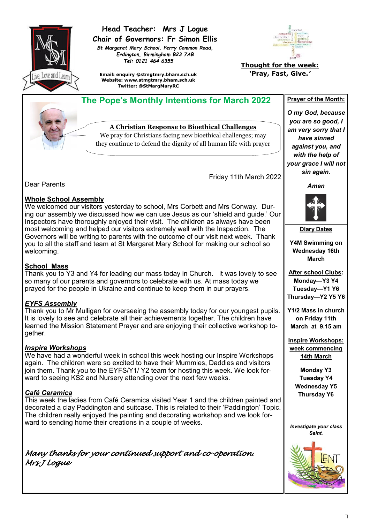

## **Head Teacher: Mrs J Logue Chair of Governors: Fr Simon Ellis**

*St Margaret Mary School, Perry Common Road, Erdington, Birmingham B23 7AB Tel: 0121 464 6355*

**Email: enquiry @stmgtmry.bham.sch.uk Website: www.stmgtmry.bham.sch.uk Twitter: @StMargMaryRC**



**Thought for the week: 'Pray, Fast, Give.***'*

 **The Pope's Monthly Intentions for March 2022 Prayer of the Month:** 

**A Christian Response to Bioethical Challenges**

We pray for Christians facing new bioethical challenges; may they continue to defend the dignity of all human life with prayer

Friday 11th March 2022

Dear Parents

#### **Whole School Assembly**

We welcomed our visitors yesterday to school, Mrs Corbett and Mrs Conway. During our assembly we discussed how we can use Jesus as our 'shield and guide.' Our Inspectors have thoroughly enjoyed their visit. The children as always have been most welcoming and helped our visitors extremely well with the Inspection. The Governors will be writing to parents with the outcome of our visit next week. Thank you to all the staff and team at St Margaret Mary School for making our school so welcoming.

#### **School Mass**

Thank you to Y3 and Y4 for leading our mass today in Church. It was lovely to see so many of our parents and governors to celebrate with us. At mass today we prayed for the people in Ukraine and continue to keep them in our prayers.

## *EYFS Assembly*

Thank you to Mr Mulligan for overseeing the assembly today for our youngest pupils. It is lovely to see and celebrate all their achievements together. The children have learned the Mission Statement Prayer and are enjoying their collective workshop together.

#### *Inspire Workshops*

We have had a wonderful week in school this week hosting our Inspire Workshops again. The children were so excited to have their Mummies, Daddies and visitors join them. Thank you to the EYFS/Y1/ Y2 team for hosting this week. We look forward to seeing KS2 and Nursery attending over the next few weeks.

## *Café Ceramica*

This week the ladies from Café Ceramica visited Year 1 and the children painted and decorated a clay Paddington and suitcase. This is related to their 'Paddington' Topic. The children really enjoyed the painting and decorating workshop and we look forward to sending home their creations in a couple of weeks.

*Many thanks for your continued support and co-operation. Mrs J Logue* 

*Amen*

*O my God, because you are so good, I am very sorry that I have sinned against you, and with the help of your grace I will not sin again.*

**Diary Dates**

**Y4M Swimming on Wednesday 16th March**

**After school Clubs: Monday—Y3 Y4 Tuesday—Y1 Y6 Thursday—Y2 Y5 Y6**

**Y1/2 Mass in church on Friday 11th March at 9.15 am**

**Inspire Workshops: week commencing 14th March**

> **Monday Y3 Tuesday Y4 Wednesday Y5 Thursday Y6**